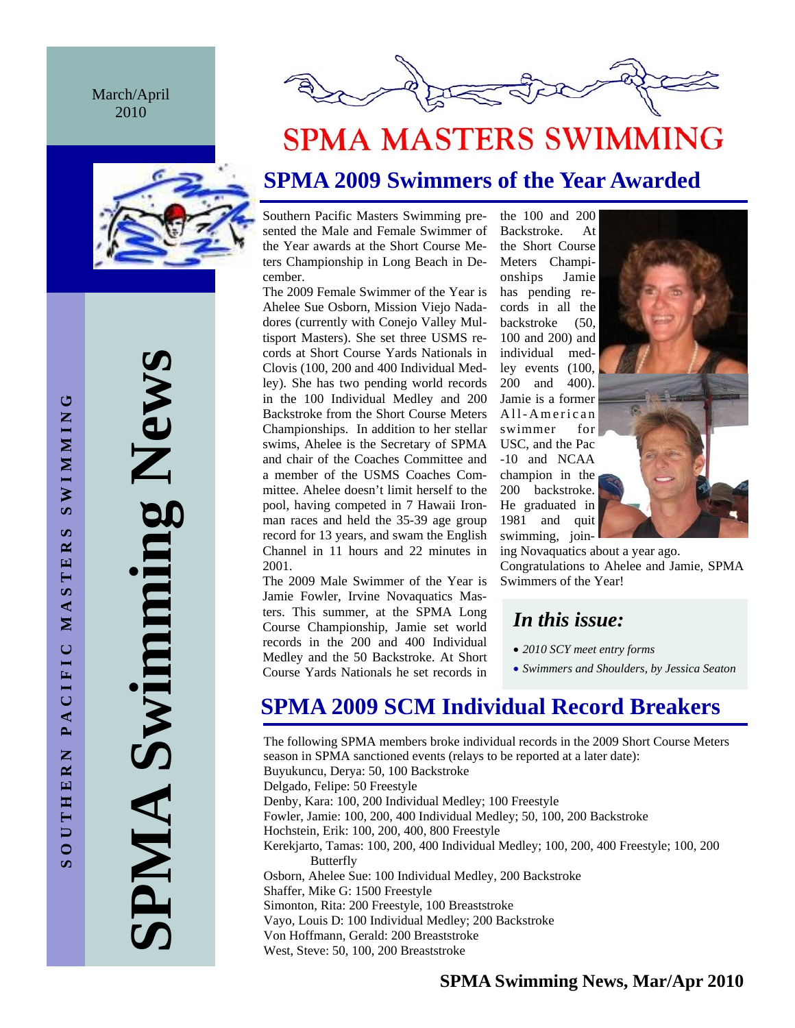March/April 2010



**SPMA Swimming News**  Swimming New AIMP



# **SPMA MASTERS SWIMMING**

## **SPMA 2009 Swimmers of the Year Awarded**

Southern Pacific Masters Swimming presented the Male and Female Swimmer of the Year awards at the Short Course Meters Championship in Long Beach in December.

The 2009 Female Swimmer of the Year is Ahelee Sue Osborn, Mission Viejo Nadadores (currently with Conejo Valley Multisport Masters). She set three USMS records at Short Course Yards Nationals in Clovis (100, 200 and 400 Individual Medley). She has two pending world records in the 100 Individual Medley and 200 Backstroke from the Short Course Meters Championships. In addition to her stellar swims, Ahelee is the Secretary of SPMA and chair of the Coaches Committee and a member of the USMS Coaches Committee. Ahelee doesn't limit herself to the pool, having competed in 7 Hawaii Ironman races and held the 35-39 age group record for 13 years, and swam the English Channel in 11 hours and 22 minutes in 2001.

The 2009 Male Swimmer of the Year is Jamie Fowler, Irvine Novaquatics Masters. This summer, at the SPMA Long Course Championship, Jamie set world records in the 200 and 400 Individual Medley and the 50 Backstroke. At Short Course Yards Nationals he set records in

the 100 and 200 Backstroke. At the Short Course Meters Championships Jamie has pending records in all the backstroke (50, 100 and 200) and individual medley events (100, 200 and 400). Jamie is a former All-American swimmer for USC, and the Pac -10 and NCAA champion in the 200 backstroke. He graduated in 1981 and quit swimming, join-



ing Novaquatics about a year ago. Congratulations to Ahelee and Jamie, SPMA Swimmers of the Year!

### *In this issue:*

- *2010 SCY meet entry forms*
- *Swimmers and Shoulders, by Jessica Seaton*

## **SPMA 2009 SCM Individual Record Breakers**

The following SPMA members broke individual records in the 2009 Short Course Meters season in SPMA sanctioned events (relays to be reported at a later date): Buyukuncu, Derya: 50, 100 Backstroke Delgado, Felipe: 50 Freestyle Denby, Kara: 100, 200 Individual Medley; 100 Freestyle Fowler, Jamie: 100, 200, 400 Individual Medley; 50, 100, 200 Backstroke Hochstein, Erik: 100, 200, 400, 800 Freestyle Kerekjarto, Tamas: 100, 200, 400 Individual Medley; 100, 200, 400 Freestyle; 100, 200 Butterfly Osborn, Ahelee Sue: 100 Individual Medley, 200 Backstroke Shaffer, Mike G: 1500 Freestyle Simonton, Rita: 200 Freestyle, 100 Breaststroke Vayo, Louis D: 100 Individual Medley; 200 Backstroke Von Hoffmann, Gerald: 200 Breaststroke West, Steve: 50, 100, 200 Breaststroke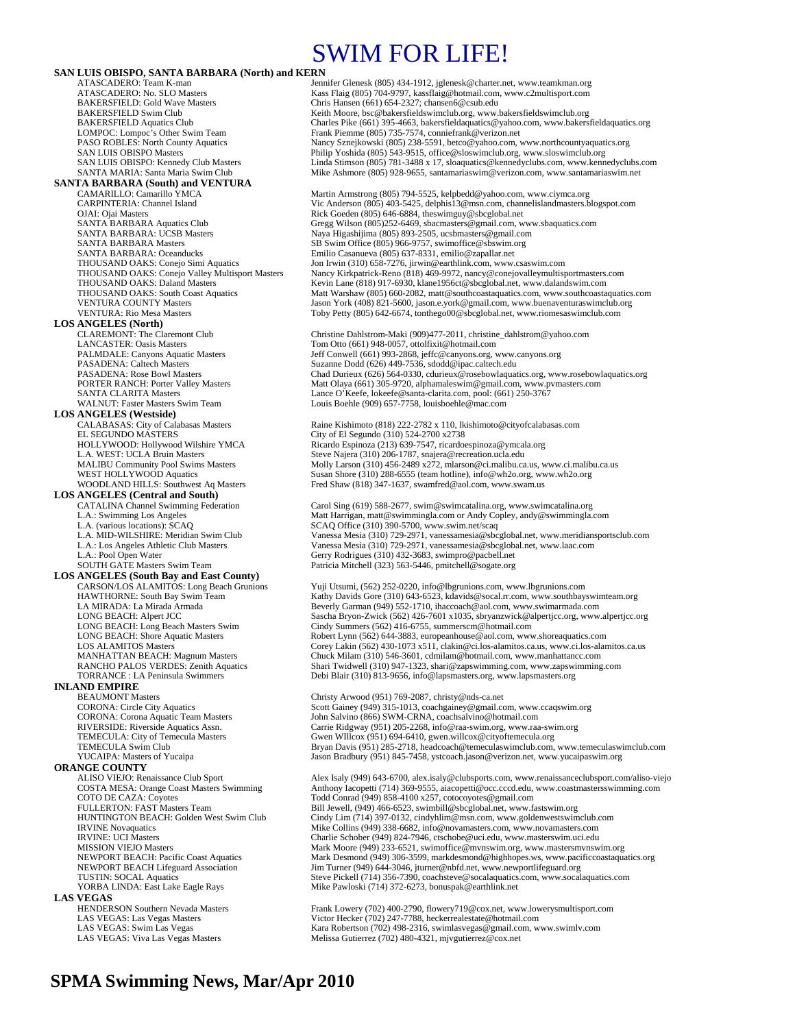## SWIM FOR LIFE!

**SAN LUIS OBISPO, SANTA BARBARA (North) and KERN**<br>ATASCADERO: Team K-man<br>Jen ATASCADERO: Team K-man Jennifer Glenesk (805) 434-1912, jglenesk @charter.net, www.teamkman.org<br>ATASCADERO: No. SLO Masters Kass Flaig (805) 704-9797, kassflaig @hotmail.com, www.c2multisport.com ATASCADERO: No. SLO Masters Kass Flaig (805) 704-9797, kassflaig@hotmail.com, www.c2multisport.com<br>BAKERSFIELD: Gold Wave Masters Chris Hansen (661) 654-2327; chansen6@csub.edu BAKERSFIELD: Gold Wave Masters Chris Hansen (661) 654-2327; chansen 6@csub.edu<br>BAKERSFIELD Swim Club Club Chris Hansen (661) 654-2327; chansen 6@csub.edu BAKERSFIELD Swim Club<br>BAKERSFIELD Aquatics Club<br>Charles Pike (661) 395-4663, bakersfieldaquatics@yahoo.com, www.bakersf BAKERSFIELD Aquatics Club Charles Pike (661) 395-4663, bakersfieldaquatics@yahoo.com, www.bakersfieldaquatics.org<br>COMPOC: Lompoc's Other Swim Team Frank Piemme (805) 735-7574, conniefrank@verizon.net LOMPOC: Lompoc's Other Swim Team Frank Piemme (805) 735-7574, conniefrank @verizon.net<br>PASO ROBLES: North County Aquatics Namey Sznejkowski (805) 238-5591, betco@yahoo.com, Nancy Sznejkowski (805) 238-5591, betco@yahoo.com, www.northcountyaquatics.org SAN LUIS OBISPO Masters (Sales of Philip Yoshida (805) 543-9515, office@sloswimclub.org, www.sloswimclub.org<br>SAN LUIS OBISPO: Kennedy Club Masters (Sales Linda Stimson (805) 781-3488 x 17, sloaquatics@kennedyclubs.com, www **SANTA BARBARA (South) and VENTURA**  CAMARILLO: Camarillo YMCA Martin Armstrong (805) 794-5525, kelpbedd@yahoo.com, www.ciymca.org CARPINTERIA: Channel Island Vic Anderson (805) 403-5425, delphis13@msn.com, channelislandmasters.blogspot.com OJAI: Ojai Masters Rick Goeden (805) 646-6884, theswimguy@sbcglobal.net<br>
SANTA BARBARA Aquatics Club<br>
Gregg Wilson (805)252-6469, sbacmasters@gmail.com, w SANTA BARBARA Aquatics Club Gregg Wilson (805)252-6469, sbacmasters@gmail.com, www.sbaquatics.com<br>SANTA BARBARA: UCSB Masters **Santa Barbara Access Santa Barbara (805)** 893-2505, ucsbmasters@gmail.com SANTA BARBARA: UCSB Masters Naya Higashijima (805) 893-2505, ucsbmasters@gmail.com<br>SANTA BARBARA Masters SB Swim Office (805) 966-9757, swimoffice@sbswim.org SANTA BARBARA Masters SB Swim Office (805) 966-9757, swimoffice@sbswim.org<br>SANTA BARBARA: Oceanducks Emilio Casanueva (805) 637-8331, emilio@zapallar.net SANTA BARBARA: Oceanducks Emilio Casanueva (805) 637-8331, emilio@zapallar.net<br>THOUSAND OAKS: Conejo Simi Aquatics Jon Irwin (310) 658-7276, jirwin@earthlink.com, www. THOUSAND OAKS: Conejo Simi Aquatics Jon Irwin (310) 658-7276, jirwin@earthlink.com, www.csaswim.com<br>THOUSAND OAKS: Conejo Valley Multisport Masters Nancy Kirkpatrick-Reno (818) 469-9972, nancy@conejovalleymultisp THOUSAND OAKS: Conejo Valley Multisport Masters Nancy Kirkpatrick-Reno (818) 469-9972, nancy@conejovalleymultisportmasters.com<br>THOUSAND OAKS: Daland Masters Kevin Lane (818) 917-6930, klane1956ct@sbcglobal.net, www.dalands Kevin Lane (818) 917-6930, klane1956ct@sbcglobal.net, www.dalandswim.com THOUSAND OAKS: South Coast Aquatics Matt Warshaw (805) 660-2082, matt@southcoastaquatics.com, www.southcoastaquatics.com<br>VENTURA COUNTY Masters Matt Matt Matt Matt Warshaw (805) 660-2082, matt@southcoastaquatics.com, www.b VENTURA COUNTY Masters Valley (1999) 321-5600, jason American American American Workshand University of The Va<br>VENTURA: Rio Mesa Masters Valley (1999) 700 Petty (805) 642-6674, tonthego (0@shcglobal.net. www.riomesaswimclu Toby Petty (805) 642-6674, tonthego00@sbcglobal.net, www.riomesaswimclub.com **LOS ANGELES (North)**  CLAREMONT: The Claremont Club Christine Dahlstrom-Maki (909)477-2011, christine\_dahlstrom@yahoo.com<br>CANCASTER: Oasis Masters Tom Otto (661) 948-0057, ottolfixit@hotmail.com LANCASTER: Oasis Masters Tom Otto (661) 948-0057, ottolfixit@hotmail.com PALMDALE: Canyons Aquatic Masters Jeff Conwell (661) 993-2868, jeffc@canyons.org, www.canyons.org<br>PASADENA: Caltech Masters Suzanne Dodd (626) 449-7536, sdodd@ipac.caltech.edu PASADENA: Caltech Masters Suzanne Dodd (626) 449-7536, sdodd@ipac.caltech.edu<br>PASADENA: Rose Bowl Masters Suzanne Dodd (626) 449-7536, sdodd@ipac.caltech.edu<br>PASADENA: Rose Bowl Masters Chad Durieux (626) 564-0330, cdurieu PASADENA: Rose Bowl Masters Chad Durieux (626) 564-0330, cdurieux @rosebowlaquatics.org, www.rosebowlaquatics.org<br>PORTER RANCH: Porter Valley Masters Matt Olaya (661) 305-9720, alphamaleswim@gmail.com, www.pymasters.com PORTER RANCH: Porter Valley Masters Matt Olaya (661) 305-9720, alphamaleswim@gmail.com, www.pvmasters.com<br>SANTA CLARITA Masters Matters Matt Olaya (661) 305-9720, alphamaleswim@gmail.com, www.pvmasters.com SANTA CLARITA Masters Lance O'Keefe, lokeefe@santa-clarita.com, pool: (661) 250-3767 Louis Boehle (909) 657-7758, louisboehle@mac.com **LOS ANGELES (Westside)** CALABASAS: City of Calabasas Masters Raine Kishimoto (818) 222-2782 x 110, lkishimoto@cityofcalabasas.com<br>EL SEGUNDO MASTERS City of El Segundo (310) 524-2700 x2738 EL SEGUNDO MÁSTERS<br>
HOLLYWOOD: Hollywood Wilshire YMCA<br>
Ricardo Espinoza (213) 639-7547, ricardo HOLLYWOOD: Hollywood Wilshire YMCA Ricardo Espinoza (213) 639-7547, ricardoespinoza@ymcala.org<br>
L.A. WEST: UCLA Bruin Masters Steve Najera (310) 206-1787, snajera@recreation.ucla.edu L.A. WEST: UCLA Bruin Masters Steve Najera (310) 206-1787, snajera@recreation.ucla.edu<br>MALIBU Community Pool Swims Masters Molly Larson (310) 456-2489 x272, mlarson@ci.malibu.ca MALIBU Community Pool Swims Masters Molly Larson (310) 456-2489 x272, mlarson@ci.malibu.ca.us, www.ci.malibu.ca.us<br>WEST HOLLYWOOD Aquatics Susan Shore (310) 288-6555 (team hotline), info@wh2o.org, www.wh2o.org WEST HOLLYWOOD Aquatics Susan Shore (310) 288-6555 (team hotline), info@wh2o.org, www.wh2o.org<br>WOODLAND HILLS: Southwest Aq Masters Fred Shaw (818) 347-1637, swamfred@aol.com, www.swam.us Fred Shaw (818) 347-1637, swamfred@aol.com, www.swam.us **LOS ANGELES (Central and South)**  Carol Sing (619) 588-2677, swim@swimcatalina.org, www.swimcatalina.org L.A.: Swimming Los Angeles Matt Harrigan, matt @swimmingla.com or Andy Copley, andy @swimmingla.com CLA.<br>L.A. (various locations): SCAQ SCAQ SCAQ Office (310) 390-5700, www.swim.net/scaq L.A. (various locations): SCAQ<br>
L.A. MID-WILSHIRE: Meridian Swim Club Vanessa Mesia (310) 729-2971, vanessamesia@sbcglobal.net, www.meridiansportsclub.com<br>
L.A.: Los Angeles Athletic Club Masters Vanessa Mesia (310) 729-29 L.A.: Los Angeles Athletic Club Masters Vanessa Mesia (310) 729-2971, vanessamesia@sbcglobal.net, www.laac.com<br>
L.A.: Pool Open Water Genry Rodrigues (310) 432-3683, swimpro@pacbell.net, www.laac.com L.A.: Pool Open Water Gerry Rodrigues (310) 432-3683, swimpro@pacbell.net<br>SOUTH GATE Masters Swim Team Patricia Mitchell (323) 563-5446, pmitchell@sogate.org Patricia Mitchell (323) 563-5446, pmitchell@sogate.org **LOS ANGELES (South Bay and East County)**  CARSON/LOS ALAMITOS: Long Beach Grunions Yuji Utsumi, (562) 252-0220, info@lbgrunions.com, www.lbgrunions.com HAWTHORNE: South Bay Swim Team Kathy Davids Gore (310) 643-6523, kdavids@socal.rr.com, www.southbayswimteam.org<br>
LA MIRADA: La Mirada Armada (1999) 552-1710, ihaccoach@aol.com, www.swimarmada.com LA MIRADA: La Mirada Armada **Beverly Garman (949) 552-1710**, ihaccoach@aol.com, www.swimarmada.com<br>
LONG BEACH: Alpert JCC **Sascha Bryon-Zwick (562) 426-7601 x1035**, sbryanzwick@alpertjcc.org, www LONG BEACH: Alpert JCC Sascha Bryon-Zwick (562) 426-7601 x1035, sbryanzwick@alpertjcc.org, www.alpertjcc.org<br>Cindy Summers (562) 416-6755, summerscm@hotmail.com LONG BEACH: Long Beach Masters Swim Cindy Summers (562) 416-6755, summerscm@hotmail.com Robert Lynn (562) 644-3883, europeanhouse@aol.com, www.shoreaquatics.com LOS ALAMITOS Masters Corey Lakin (562) 430-1073 x511, clakin@ci.los-alamitos.ca.us, www.ci.los-alamitos.ca.us MANHATTAN BEACH: Magnum Masters Chuck Milam (310) 546-3601, cdmilam@hotmail.com, www.manhattancc.com RANCHO PALOS VERDES: Zenith Aquatics Shari Twidwell (310) 947-1323, shari@zapswimming.com, www.zapswimming.com TORRANCE : LA Peninsula Swimmers Debi Blair (310) 813-9656, info@lapsmasters.org, www.lapsmasters.org **INLAND EMPIRE**<br>**REALIMONT Masters** BEAUMONT Masters CORONA: Circle City Aquatics CORONA: Circle City Aquatics CORONA: Corona Aquatic Team Masters Scott Gainey (949) 315-1013, coachgainey @gmail.cc CORONA: Corona Aquatic Team Masters John Salvino (866) SWM-C Scott Gainey (949) 315-1013, coachgainey@gmail.com, www.ccaqswim.org CORONA: Corona Aquatic Team Masters John Salvino (866) SWM-CRNA, coachsalvino@hotmail.com<br>
RIVERSIDE: Riverside Aquatics Assn. Carrie Ridgway (951) 205-2268, info@raa-swim.org, www.raa RIVERSIDE: Riverside Aquatics Assn. Carrie Ridgway (951) 205-2268, info@raa-swim.org, www.raa-swim.org<br>TEMECULA: City of Temecula Masters Gwen WIllcox (951) 694-6410, gwen.willcox@cityoftemecula.org TEMECULA: City of Temecula Masters Gwen WIllcox (951) 694-6410, gwen.willcox@cityoftemecula.org<br>TEMECULA Swim Club Bryan Davis (951) 285-2718, headcoach@temeculaswimclub.com, TEMECULA Swim Club Bryan Davis (951) 285-2718, headcoach@temeculaswimclub.com, www.temeculaswimclub.com<br>TucAIPA: Masters of Yucaipa Branch Branch Branch Davis (951) 845-7458, ystcoach.jason@verizon.net, www.yucaipaswim.org Jason Bradbury (951) 845-7458, ystcoach.jason@verizon.net, www.yucaipaswim.org **ORANGE COUNTY**<br>ALISO VIEJO: Renaissance Club Sport ALISO VIEJO: Renaissance Club Sport <br>
Alex Isaly (949) 643-6700, alex.isaly@clubsports.com, www.renaissanceclubsport.com/aliso-viejo<br>
Anthony Iacopetti (714) 369-9555, aiacopetti@occ.cccd.edu, www.coastmastersswimming.com COSTA MESA: Orange Coast Masters Swimming Anthony Iacopetti (714) 369-9555, aiacopetti@occ.cccd.edu, www.coastmastersswimming.com<br>COTO DE CAZA: Coyotes  $\frac{1}{2}$ COTO DE CAZA: Coyotes Correct Conrad (949) 858-4100 x257, cotocoyotes @gmail.com<br>FULLERTON: FAST Masters Team Bill Jewell, (949) 466-6523, swimbill @sbcglobal.net, www.f Bill Jewell, (949) 466-6523, swimbill@sbcglobal.net, www.fastswim.org HUNTINGTON BEACH: Golden West Swim Club Cindy Lim (714) 397-0132, cindyhlim@msn.com, www.goldenwestswimclub.com<br>R VINE Novamatics Wike Collins (949) 338-6682, info@novamasters.com, www.novamasters.com Mike Collins (949) 338-6682, info@novamasters.com, www.novamasters.com IRVINE: UCI Masters<br>
IRVINE: UCI Masters Charlie Schober (949) 233-6521, swimoffice@mvnswim.org, www.mastersmynsw<br>
Mark Moore (949) 233-6521, swimoffice@mvnswim.org, www.mastersmynsw MISSION VIEJO Masters Mark Moore (949) 233-6521, swimoffice@mvnswim.org, www.mastersmvnswim.org<br>Mark Desmond (949) 306-3599, markdesmond@highhopes.ws, www.pacificcoastaqua NEWPORT BEACH: Pacific Coast Aquatics Mark Desmond (949) 306-3599, markdesmond@highhopes.ws, www.pacificcoastaquatics.org<br>NEWPORT BEACH Lifeguard Association Jim Turner (949) 644-3046, jturner@nbfd.net, www.newportlifeguar NEWPORT BEACH Lifeguard Association Jim Turner (949) 644-3046, jturner@nbfd.net, www.newportlifeguard.org<br>TUSTIN: SOCAL Aquatics Association Steve Pickell (714) 356-7390, coachsteve@socalaquatics.com, www.socal TUSTIN: SOCAL Aquatics Steve Rickell (714) 356-7390, coachsteve@socalaquatics.com, www.socalaquatics.com<br>TORBA LINDA: East Lake Eagle Rays Mike Pawloski (714) 372-6273, bonuspak@earthlink.net Mike Pawloski (714) 372-6273, bonuspak@earthlink.net **LAS VEGAS**<br> **HENDERSON Southern Nevada Masters** HENDERSON Southern Nevada Masters Frank Lowery (702) 400-2790, flowery 719@cox.net, www.lowerysmultisport.com<br>
LAS VEGAS: Las Vegas Masters Victor Hecker (702) 247-7788, heckerrealestate@hotmail.com LAS VEGAS: Las Vegas Masters Victor Hecker (702) 247-7788, heckerrealestate@hotmail.com<br>
LAS VEGAS: Swim Las Vegas Kara Robertson (702) 498-2316, swimlasvegas@gmail.com, w LAS VEGAS: Swim Las Vegas Kara Robertson (702) 498-2316, swimlasvegas@gmail.com, www.swimlv.com<br>LAS VEGAS: Viva Las Vegas Masters Melissa Gutierrez (702) 480-4321, mjvgutierrez@cox.net Melissa Gutierrez (702) 480-4321, mjvgutierrez@cox.net

### **SPMA Swimming News, Mar/Apr 2010**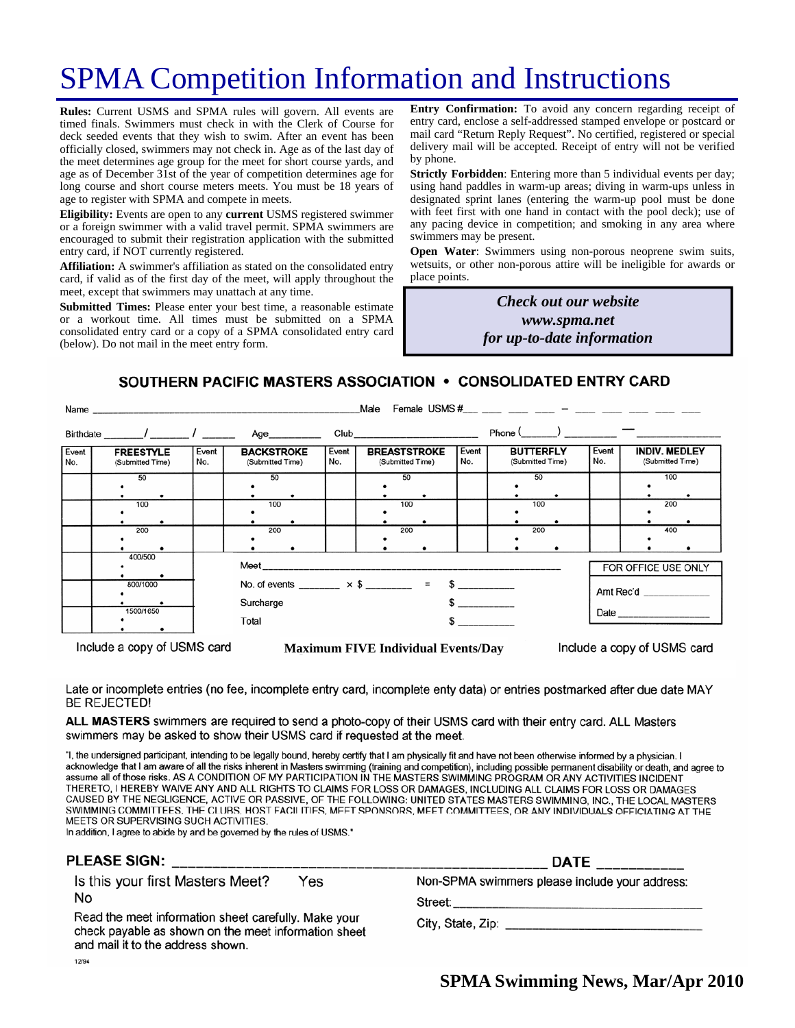# SPMA Competition Information and Instructions

**Rules:** Current USMS and SPMA rules will govern. All events are timed finals. Swimmers must check in with the Clerk of Course for deck seeded events that they wish to swim. After an event has been officially closed, swimmers may not check in. Age as of the last day of the meet determines age group for the meet for short course yards, and age as of December 31st of the year of competition determines age for long course and short course meters meets. You must be 18 years of age to register with SPMA and compete in meets.

**Eligibility:** Events are open to any **current** USMS registered swimmer or a foreign swimmer with a valid travel permit. SPMA swimmers are encouraged to submit their registration application with the submitted entry card, if NOT currently registered.

**Affiliation:** A swimmer's affiliation as stated on the consolidated entry card, if valid as of the first day of the meet, will apply throughout the meet, except that swimmers may unattach at any time.

**Submitted Times:** Please enter your best time, a reasonable estimate or a workout time. All times must be submitted on a SPMA consolidated entry card or a copy of a SPMA consolidated entry card (below). Do not mail in the meet entry form.

**Entry Confirmation:** To avoid any concern regarding receipt of entry card, enclose a self-addressed stamped envelope or postcard or mail card "Return Reply Request". No certified, registered or special delivery mail will be accepted. Receipt of entry will not be verified by phone.

**Strictly Forbidden**: Entering more than 5 individual events per day; using hand paddles in warm-up areas; diving in warm-ups unless in designated sprint lanes (entering the warm-up pool must be done with feet first with one hand in contact with the pool deck); use of any pacing device in competition; and smoking in any area where swimmers may be present.

**Open Water**: Swimmers using non-porous neoprene swim suits, wetsuits, or other non-porous attire will be ineligible for awards or place points.

> *Check out our website www.spma.net for up-to-date information*

### SOUTHERN PACIFIC MASTERS ASSOCIATION • CONSOLIDATED ENTRY CARD

|                                      |                 |                                                                         |              | Male                                                       |              |                                      |                                                             |
|--------------------------------------|-----------------|-------------------------------------------------------------------------|--------------|------------------------------------------------------------|--------------|--------------------------------------|-------------------------------------------------------------|
|                                      |                 |                                                                         |              |                                                            |              | $Phone ($ $)$ $  -$                  |                                                             |
| <b>FREESTYLE</b><br>(Submitted Time) | Event<br>No.    | <b>BACKSTROKE</b><br>(Submitted Time)                                   | Event<br>No. | <b>BREASTSTROKE</b><br>(Submitted Time)                    | Event<br>No. | <b>BUTTERFLY</b><br>(Submitted Time) | Event<br><b>INDIV. MEDLEY</b><br>No.<br>(Submitted Time)    |
| 50                                   |                 | 50                                                                      |              | 50                                                         |              | 50                                   | 100                                                         |
| 100                                  |                 | 100                                                                     |              | 100                                                        |              | 100                                  | 200                                                         |
| 200                                  |                 | 200                                                                     |              | 200                                                        |              | 200                                  | 400                                                         |
| 400/500                              |                 | FOR OFFICE USE ONLY                                                     |              |                                                            |              |                                      |                                                             |
| 800/1000                             |                 | No. of events ________ $\times$ \$ ________ = \$ _________<br>Amt Rec'd |              |                                                            |              |                                      |                                                             |
| 1500/1650                            | Total<br>$\sim$ |                                                                         |              |                                                            |              |                                      |                                                             |
|                                      |                 |                                                                         | Surcharge    | Name<br>Birthdate _______/ ________/ ________ Age_________ |              |                                      | Female USMS #___ ___ ___ ___ _ ___ - ___ ___ ____ ____ ____ |

Include a copy of USMS card

**Maximum FIVE Individual Events/Day** 

Include a copy of USMS card

Late or incomplete entries (no fee, incomplete entry card, incomplete enty data) or entries postmarked after due date MAY **BE REJECTED!** 

ALL MASTERS swimmers are required to send a photo-copy of their USMS card with their entry card. ALL Masters swimmers may be asked to show their USMS card if requested at the meet.

"I, the undersigned participant, intending to be legally bound, hereby certify that I am physically fit and have not been otherwise informed by a physician. I acknowledge that I am aware of all the risks inherent in Masters swimming (training and competition), including possible permanent disability or death, and agree to assume all of those risks. AS A CONDITION OF MY PARTICIPATION IN THE MASTERS SWIMMING PROGRAM OR ANY ACTIVITIES INCIDENT THERETO, I HEREBY WAIVE ANY AND ALL RIGHTS TO CLAIMS FOR LOSS OR DAMAGES, INCLUDING ALL CLAIMS FOR LOSS OR DAMAGES CAUSED BY THE NEGLIGENCE, ACTIVE OR PASSIVE, OF THE FOLLOWING: UNITED STATES MASTERS SWIMMING, INC., THE LOCAL MASTERS SWIMMING COMMITTEES, THE CLUBS, HOST FACILITIES, MEET SPONSORS, MEET COMMITTEES, OR ANY INDIVIDUALS OFFICIATING AT THE MEETS OR SUPERVISING SUCH ACTIVITIES.

In addition, I agree to abide by and be governed by the rules of USMS."

### **PLEASE SIGN:**

Is this your first Masters Meet? Yes No

Read the meet information sheet carefully. Make your check payable as shown on the meet information sheet and mail it to the address shown. 12/94

|                                                | <b>DATE</b> _____________ |
|------------------------------------------------|---------------------------|
| Non-SPMA swimmers please include your address: |                           |

Street:

City, State, Zip: Electric Article Article Article Article Article Article Article Article Article Article Article

**SPMA Swimming News, Mar/Apr 2010**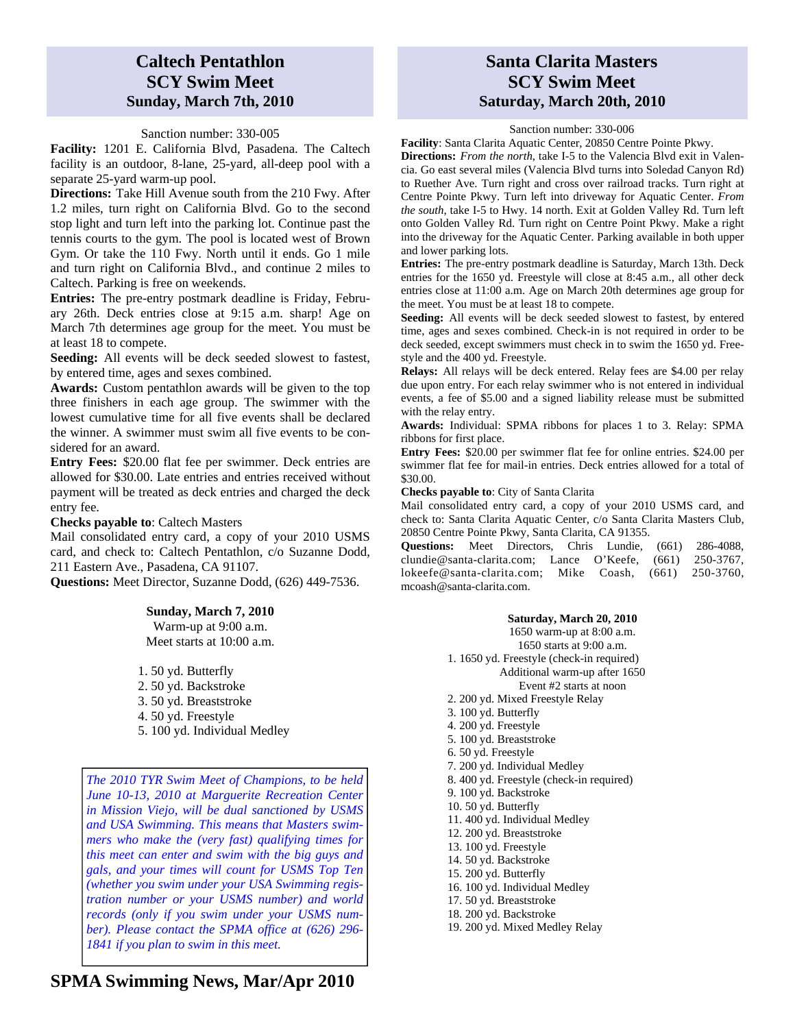### **Caltech Pentathlon SCY Swim Meet Sunday, March 7th, 2010**

### Sanction number: 330-005

**Facility:** 1201 E. California Blvd, Pasadena. The Caltech facility is an outdoor, 8-lane, 25-yard, all-deep pool with a separate 25-yard warm-up pool.

**Directions:** Take Hill Avenue south from the 210 Fwy. After 1.2 miles, turn right on California Blvd. Go to the second stop light and turn left into the parking lot. Continue past the tennis courts to the gym. The pool is located west of Brown Gym. Or take the 110 Fwy. North until it ends. Go 1 mile and turn right on California Blvd., and continue 2 miles to Caltech. Parking is free on weekends.

**Entries:** The pre-entry postmark deadline is Friday, February 26th. Deck entries close at 9:15 a.m. sharp! Age on March 7th determines age group for the meet. You must be at least 18 to compete.

**Seeding:** All events will be deck seeded slowest to fastest, by entered time, ages and sexes combined.

**Awards:** Custom pentathlon awards will be given to the top three finishers in each age group. The swimmer with the lowest cumulative time for all five events shall be declared the winner. A swimmer must swim all five events to be considered for an award.

**Entry Fees:** \$20.00 flat fee per swimmer. Deck entries are allowed for \$30.00. Late entries and entries received without payment will be treated as deck entries and charged the deck entry fee.

#### **Checks payable to**: Caltech Masters

Mail consolidated entry card, a copy of your 2010 USMS card, and check to: Caltech Pentathlon, c/o Suzanne Dodd, 211 Eastern Ave., Pasadena, CA 91107.

**Questions:** Meet Director, Suzanne Dodd, (626) 449-7536.

#### **Sunday, March 7, 2010**

Warm-up at 9:00 a.m. Meet starts at 10:00 a.m.

1. 50 yd. Butterfly 2. 50 yd. Backstroke 3. 50 yd. Breaststroke 4. 50 yd. Freestyle 5. 100 yd. Individual Medley

*The 2010 TYR Swim Meet of Champions, to be held June 10-13, 2010 at Marguerite Recreation Center in Mission Viejo, will be dual sanctioned by USMS and USA Swimming. This means that Masters swimmers who make the (very fast) qualifying times for this meet can enter and swim with the big guys and gals, and your times will count for USMS Top Ten (whether you swim under your USA Swimming registration number or your USMS number) and world records (only if you swim under your USMS number). Please contact the SPMA office at (626) 296- 1841 if you plan to swim in this meet.* 

### **SPMA Swimming News, Mar/Apr 2010**

### **Santa Clarita Masters SCY Swim Meet Saturday, March 20th, 2010**

#### Sanction number: 330-006

**Facility**: Santa Clarita Aquatic Center, 20850 Centre Pointe Pkwy.

**Directions:** *From the north*, take I-5 to the Valencia Blvd exit in Valencia. Go east several miles (Valencia Blvd turns into Soledad Canyon Rd) to Ruether Ave. Turn right and cross over railroad tracks. Turn right at Centre Pointe Pkwy. Turn left into driveway for Aquatic Center. *From the south*, take I-5 to Hwy. 14 north. Exit at Golden Valley Rd. Turn left onto Golden Valley Rd. Turn right on Centre Point Pkwy. Make a right into the driveway for the Aquatic Center. Parking available in both upper and lower parking lots.

**Entries:** The pre-entry postmark deadline is Saturday, March 13th. Deck entries for the 1650 yd. Freestyle will close at 8:45 a.m., all other deck entries close at 11:00 a.m. Age on March 20th determines age group for the meet. You must be at least 18 to compete.

**Seeding:** All events will be deck seeded slowest to fastest, by entered time, ages and sexes combined. Check-in is not required in order to be deck seeded, except swimmers must check in to swim the 1650 yd. Freestyle and the 400 yd. Freestyle.

**Relays:** All relays will be deck entered. Relay fees are \$4.00 per relay due upon entry. For each relay swimmer who is not entered in individual events, a fee of \$5.00 and a signed liability release must be submitted with the relay entry.

**Awards:** Individual: SPMA ribbons for places 1 to 3. Relay: SPMA ribbons for first place.

**Entry Fees:** \$20.00 per swimmer flat fee for online entries. \$24.00 per swimmer flat fee for mail-in entries. Deck entries allowed for a total of \$30.00.

#### **Checks payable to**: City of Santa Clarita

Mail consolidated entry card, a copy of your 2010 USMS card, and check to: Santa Clarita Aquatic Center, c/o Santa Clarita Masters Club, 20850 Centre Pointe Pkwy, Santa Clarita, CA 91355.

**Questions:** Meet Directors, Chris Lundie, (661) 286-4088, clundie@santa-clarita.com; Lance O'Keefe, (661) 250-3767, lokeefe@santa-clarita.com; Mike Coash, (661) 250-3760, mcoash@santa-clarita.com.

#### **Saturday, March 20, 2010**

1650 warm-up at 8:00 a.m. 1650 starts at 9:00 a.m. 1. 1650 yd. Freestyle (check-in required) Additional warm-up after 1650 Event #2 starts at noon 2. 200 yd. Mixed Freestyle Relay 3. 100 yd. Butterfly 4. 200 yd. Freestyle 5. 100 yd. Breaststroke 6. 50 yd. Freestyle 7. 200 yd. Individual Medley 8. 400 yd. Freestyle (check-in required) 9. 100 yd. Backstroke 10. 50 yd. Butterfly 11. 400 yd. Individual Medley 12. 200 yd. Breaststroke 13. 100 yd. Freestyle 14. 50 yd. Backstroke 15. 200 yd. Butterfly 16. 100 yd. Individual Medley 17. 50 yd. Breaststroke 18. 200 yd. Backstroke 19. 200 yd. Mixed Medley Relay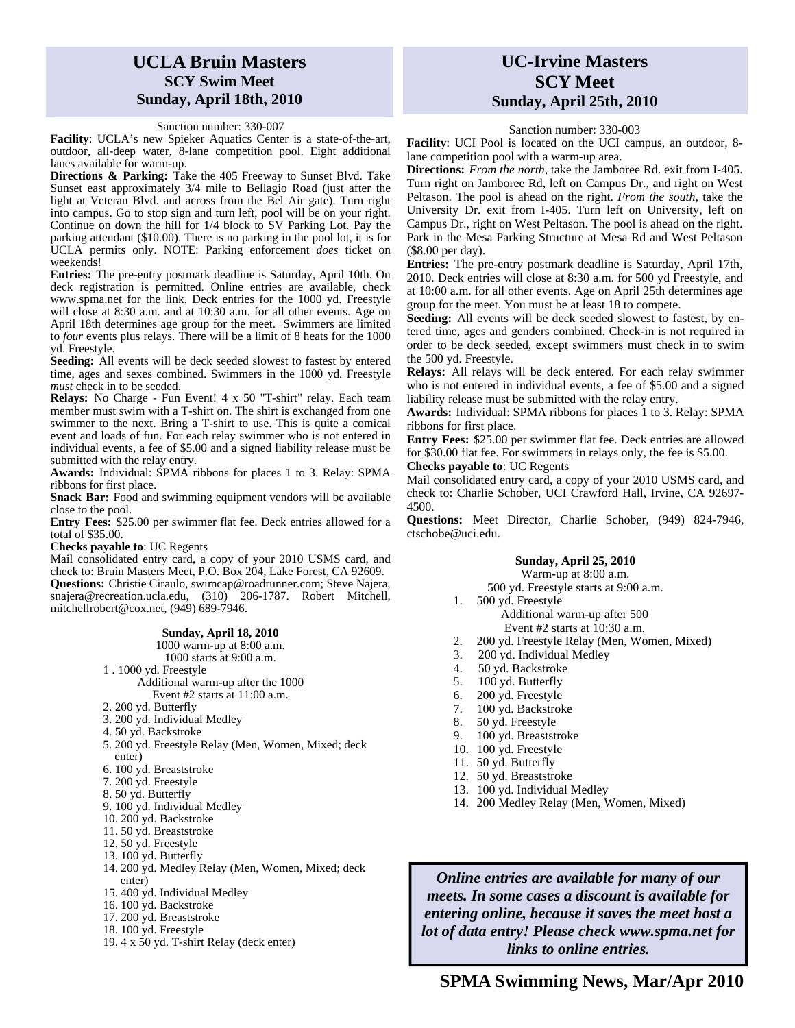### **UCLA Bruin Masters SCY Swim Meet Sunday, April 18th, 2010**

Sanction number: 330-007

**Facility**: UCLA's new Spieker Aquatics Center is a state-of-the-art, outdoor, all-deep water, 8-lane competition pool. Eight additional lanes available for warm-up.

**Directions & Parking:** Take the 405 Freeway to Sunset Blvd. Take Sunset east approximately 3/4 mile to Bellagio Road (just after the light at Veteran Blvd. and across from the Bel Air gate). Turn right into campus. Go to stop sign and turn left, pool will be on your right. Continue on down the hill for 1/4 block to SV Parking Lot. Pay the parking attendant (\$10.00). There is no parking in the pool lot, it is for UCLA permits only. NOTE: Parking enforcement *does* ticket on weekends!

**Entries:** The pre-entry postmark deadline is Saturday, April 10th. On deck registration is permitted. Online entries are available, check www.spma.net for the link. Deck entries for the 1000 yd. Freestyle will close at 8:30 a.m. and at 10:30 a.m. for all other events. Age on April 18th determines age group for the meet. Swimmers are limited to *four* events plus relays. There will be a limit of 8 heats for the 1000 yd. Freestyle.

**Seeding:** All events will be deck seeded slowest to fastest by entered time, ages and sexes combined. Swimmers in the 1000 yd. Freestyle *must* check in to be seeded.

**Relays:** No Charge - Fun Event! 4 x 50 "T-shirt" relay. Each team member must swim with a T-shirt on. The shirt is exchanged from one swimmer to the next. Bring a T-shirt to use. This is quite a comical event and loads of fun. For each relay swimmer who is not entered in individual events, a fee of \$5.00 and a signed liability release must be submitted with the relay entry.

**Awards:** Individual: SPMA ribbons for places 1 to 3. Relay: SPMA ribbons for first place.

**Snack Bar:** Food and swimming equipment vendors will be available close to the pool.

**Entry Fees:** \$25.00 per swimmer flat fee. Deck entries allowed for a total of \$35.00.

**Checks payable to**: UC Regents

Mail consolidated entry card, a copy of your 2010 USMS card, and check to: Bruin Masters Meet, P.O. Box 204, Lake Forest, CA 92609. **Questions:** Christie Ciraulo, swimcap@roadrunner.com; Steve Najera, snajera@recreation.ucla.edu, (310) 206-1787. Robert Mitchell, mitchellrobert@cox.net, (949) 689-7946.

#### **Sunday, April 18, 2010**

1000 warm-up at 8:00 a.m. 1000 starts at 9:00 a.m.

- 1 . 1000 yd. Freestyle
	- Additional warm-up after the 1000 Event #2 starts at 11:00 a.m.
- 2. 200 yd. Butterfly
- 3. 200 yd. Individual Medley
- 4. 50 yd. Backstroke
- 5. 200 yd. Freestyle Relay (Men, Women, Mixed; deck enter)
- 6. 100 yd. Breaststroke
- 7. 200 yd. Freestyle
- 8. 50 yd. Butterfly
- 9. 100 yd. Individual Medley
- 10. 200 yd. Backstroke
- 11. 50 yd. Breaststroke
- 12. 50 yd. Freestyle
- 13. 100 yd. Butterfly
- 14. 200 yd. Medley Relay (Men, Women, Mixed; deck enter)
- 15. 400 yd. Individual Medley
- 16. 100 yd. Backstroke
- 17. 200 yd. Breaststroke
- 18. 100 yd. Freestyle
- 19. 4 x 50 yd. T-shirt Relay (deck enter)

### **UC-Irvine Masters SCY Meet Sunday, April 25th, 2010**

#### Sanction number: 330-003

**Facility**: UCI Pool is located on the UCI campus, an outdoor, 8 lane competition pool with a warm-up area.

**Directions:** *From the north*, take the Jamboree Rd. exit from I-405. Turn right on Jamboree Rd, left on Campus Dr., and right on West Peltason. The pool is ahead on the right. *From the south*, take the University Dr. exit from I-405. Turn left on University, left on Campus Dr., right on West Peltason. The pool is ahead on the right. Park in the Mesa Parking Structure at Mesa Rd and West Peltason (\$8.00 per day).

**Entries:** The pre-entry postmark deadline is Saturday, April 17th, 2010. Deck entries will close at 8:30 a.m. for 500 yd Freestyle, and at 10:00 a.m. for all other events. Age on April 25th determines age group for the meet. You must be at least 18 to compete.

**Seeding:** All events will be deck seeded slowest to fastest, by entered time, ages and genders combined. Check-in is not required in order to be deck seeded, except swimmers must check in to swim the 500 yd. Freestyle.

**Relays:** All relays will be deck entered. For each relay swimmer who is not entered in individual events, a fee of \$5.00 and a signed liability release must be submitted with the relay entry.

**Awards:** Individual: SPMA ribbons for places 1 to 3. Relay: SPMA ribbons for first place.

**Entry Fees:** \$25.00 per swimmer flat fee. Deck entries are allowed for \$30.00 flat fee. For swimmers in relays only, the fee is \$5.00.

**Checks payable to**: UC Regents

Mail consolidated entry card, a copy of your 2010 USMS card, and check to: Charlie Schober, UCI Crawford Hall, Irvine, CA 92697- 4500.

**Questions:** Meet Director, Charlie Schober, (949) 824-7946, ctschobe@uci.edu.

### **Sunday, April 25, 2010**

Warm-up at 8:00 a.m. 500 yd. Freestyle starts at 9:00 a.m.

- 1. 500 yd. Freestyle Additional warm-up after 500 Event #2 starts at 10:30 a.m.
- 2. 200 yd. Freestyle Relay (Men, Women, Mixed)
- 3. 200 yd. Individual Medley
- 4. 50 yd. Backstroke
- 5. 100 yd. Butterfly
- 6. 200 yd. Freestyle
- 7. 100 yd. Backstroke
- 8. 50 yd. Freestyle
- 9. 100 yd. Breaststroke
- 10. 100 yd. Freestyle
- 11. 50 yd. Butterfly
- 12. 50 yd. Breaststroke
- 13. 100 yd. Individual Medley
- 14. 200 Medley Relay (Men, Women, Mixed)

*Online entries are available for many of our meets. In some cases a discount is available for entering online, because it saves the meet host a lot of data entry! Please check www.spma.net for links to online entries.*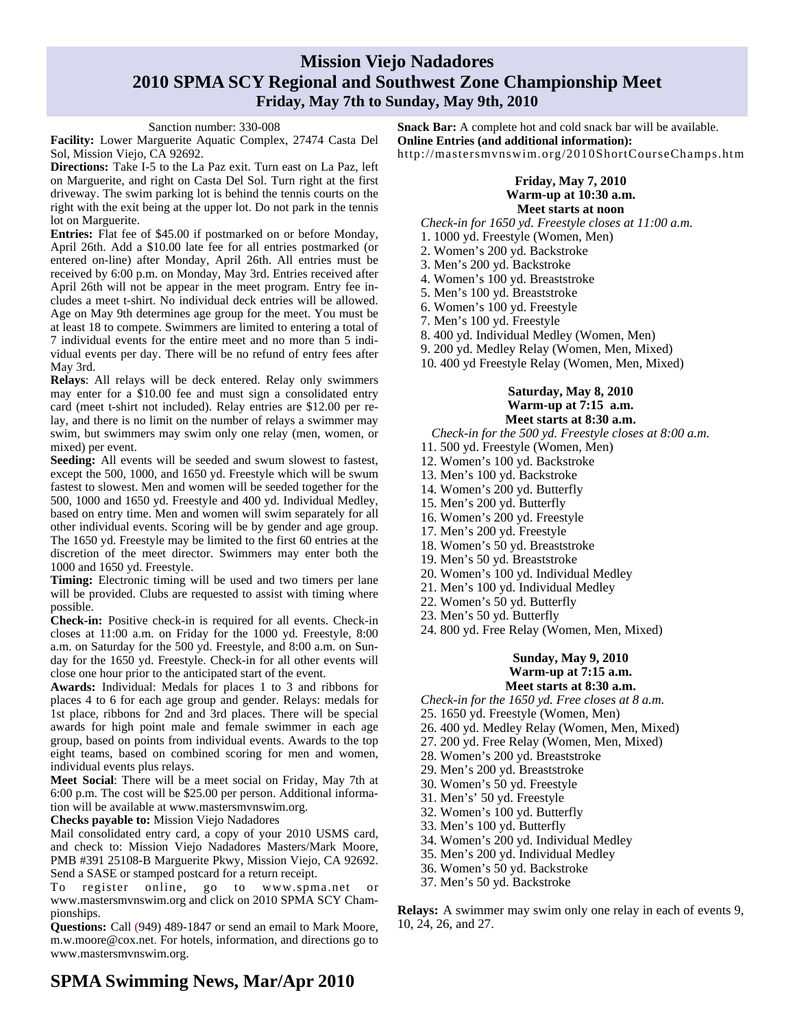### **Mission Viejo Nadadores 2010 SPMA SCY Regional and Southwest Zone Championship Meet Friday, May 7th to Sunday, May 9th, 2010**

#### Sanction number: 330-008

**Facility:** Lower Marguerite Aquatic Complex, 27474 Casta Del Sol, Mission Viejo, CA 92692.

**Directions:** Take I-5 to the La Paz exit. Turn east on La Paz, left on Marguerite, and right on Casta Del Sol. Turn right at the first driveway. The swim parking lot is behind the tennis courts on the right with the exit being at the upper lot. Do not park in the tennis lot on Marguerite.

**Entries:** Flat fee of \$45.00 if postmarked on or before Monday, April 26th. Add a \$10.00 late fee for all entries postmarked (or entered on-line) after Monday, April 26th. All entries must be received by 6:00 p.m. on Monday, May 3rd. Entries received after April 26th will not be appear in the meet program. Entry fee includes a meet t-shirt. No individual deck entries will be allowed. Age on May 9th determines age group for the meet. You must be at least 18 to compete. Swimmers are limited to entering a total of 7 individual events for the entire meet and no more than 5 individual events per day. There will be no refund of entry fees after May 3rd.

**Relays**: All relays will be deck entered. Relay only swimmers may enter for a \$10.00 fee and must sign a consolidated entry card (meet t-shirt not included). Relay entries are \$12.00 per relay, and there is no limit on the number of relays a swimmer may swim, but swimmers may swim only one relay (men, women, or mixed) per event.

**Seeding:** All events will be seeded and swum slowest to fastest, except the 500, 1000, and 1650 yd. Freestyle which will be swum fastest to slowest. Men and women will be seeded together for the 500, 1000 and 1650 yd. Freestyle and 400 yd. Individual Medley, based on entry time. Men and women will swim separately for all other individual events. Scoring will be by gender and age group. The 1650 yd. Freestyle may be limited to the first 60 entries at the discretion of the meet director. Swimmers may enter both the 1000 and 1650 yd. Freestyle.

**Timing:** Electronic timing will be used and two timers per lane will be provided. Clubs are requested to assist with timing where possible.

**Check-in:** Positive check-in is required for all events. Check-in closes at 11:00 a.m. on Friday for the 1000 yd. Freestyle, 8:00 a.m. on Saturday for the 500 yd. Freestyle, and 8:00 a.m. on Sunday for the 1650 yd. Freestyle. Check-in for all other events will close one hour prior to the anticipated start of the event.

**Awards:** Individual: Medals for places 1 to 3 and ribbons for places 4 to 6 for each age group and gender. Relays: medals for 1st place, ribbons for 2nd and 3rd places. There will be special awards for high point male and female swimmer in each age group, based on points from individual events. Awards to the top eight teams, based on combined scoring for men and women, individual events plus relays.

**Meet Social**: There will be a meet social on Friday, May 7th at 6:00 p.m. The cost will be \$25.00 per person. Additional information will be available at www.mastersmvnswim.org.

**Checks payable to:** Mission Viejo Nadadores

Mail consolidated entry card, a copy of your 2010 USMS card, and check to: Mission Viejo Nadadores Masters/Mark Moore, PMB #391 25108-B Marguerite Pkwy, Mission Viejo, CA 92692. Send a SASE or stamped postcard for a return receipt.

To register online, go to www.spma.net or www.mastersmvnswim.org and click on 2010 SPMA SCY Championships.

**Questions:** Call (949) 489-1847 or send an email to Mark Moore, m.w.moore@cox.net. For hotels, information, and directions go to www.mastersmvnswim.org.

### **SPMA Swimming News, Mar/Apr 2010**

**Snack Bar:** A complete hot and cold snack bar will be available. **Online Entries (and additional information):**  http://mastersmvnswim.org/2010ShortCourseChamps.htm

### **Friday, May 7, 2010 Warm-up at 10:30 a.m. Meet starts at noon**

*Check-in for 1650 yd. Freestyle closes at 11:00 a.m.* 

- 1. 1000 yd. Freestyle (Women, Men)
- 2. Women's 200 yd. Backstroke
- 3. Men's 200 yd. Backstroke
- 4. Women's 100 yd. Breaststroke
- 5. Men's 100 yd. Breaststroke
- 6. Women's 100 yd. Freestyle
- 7. Men's 100 yd. Freestyle
- 8. 400 yd. Individual Medley (Women, Men)
- 9. 200 yd. Medley Relay (Women, Men, Mixed)
- 10. 400 yd Freestyle Relay (Women, Men, Mixed)

### **Saturday, May 8, 2010 Warm-up at 7:15 a.m. Meet starts at 8:30 a.m.**

*Check-in for the 500 yd. Freestyle closes at 8:00 a.m.*

- 11. 500 yd. Freestyle (Women, Men)
- 12. Women's 100 yd. Backstroke
- 13. Men's 100 yd. Backstroke
- 14. Women's 200 yd. Butterfly
- 15. Men's 200 yd. Butterfly
- 16. Women's 200 yd. Freestyle
- 17. Men's 200 yd. Freestyle
- 18. Women's 50 yd. Breaststroke
- 19. Men's 50 yd. Breaststroke
- 20. Women's 100 yd. Individual Medley
- 21. Men's 100 yd. Individual Medley
- 22. Women's 50 yd. Butterfly
- 23. Men's 50 yd. Butterfly
- 24. 800 yd. Free Relay (Women, Men, Mixed)

### **Sunday, May 9, 2010 Warm-up at 7:15 a.m. Meet starts at 8:30 a.m.**

- *Check-in for the 1650 yd. Free closes at 8 a.m.*
- 25. 1650 yd. Freestyle (Women, Men)
- 26. 400 yd. Medley Relay (Women, Men, Mixed)
- 27. 200 yd. Free Relay (Women, Men, Mixed)
- 28. Women's 200 yd. Breaststroke
- 29. Men's 200 yd. Breaststroke
- 30. Women's 50 yd. Freestyle
- 31. Men's' 50 yd. Freestyle
- 32. Women's 100 yd. Butterfly
- 33. Men's 100 yd. Butterfly
- 34. Women's 200 yd. Individual Medley
- Expand your horizons! 35. Men's 200 yd. Individual Medley
- 36. Women's 50 yd. Backstroke
- $T_{\text{max}}$  and  $T_{\text{max}}$  meet in a neighborhood. 37. Men's 50 yd. Backstroke

San Diego-Imperial: www.simasterswim.org **Relays:** A swimmer may swim only one relay in each of events 9, 10.24.26 and 27 10, 24, 26, and 27.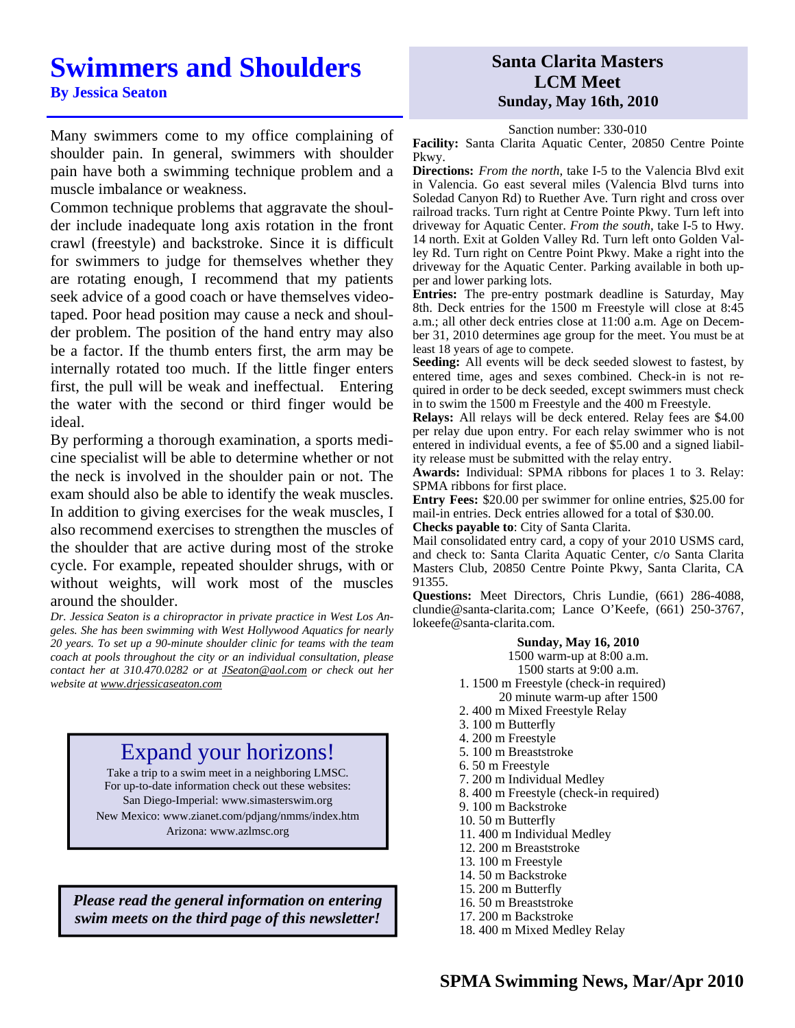## **Swimmers and Shoulders**

Many swimmers come to my office complaining of shoulder pain. In general, swimmers with shoulder pain have both a swimming technique problem and a muscle imbalance or weakness.

Common technique problems that aggravate the shoulder include inadequate long axis rotation in the front crawl (freestyle) and backstroke. Since it is difficult for swimmers to judge for themselves whether they are rotating enough, I recommend that my patients seek advice of a good coach or have themselves videotaped. Poor head position may cause a neck and shoulder problem. The position of the hand entry may also be a factor. If the thumb enters first, the arm may be internally rotated too much. If the little finger enters first, the pull will be weak and ineffectual. Entering the water with the second or third finger would be ideal.

By performing a thorough examination, a sports medicine specialist will be able to determine whether or not the neck is involved in the shoulder pain or not. The exam should also be able to identify the weak muscles. In addition to giving exercises for the weak muscles, I also recommend exercises to strengthen the muscles of the shoulder that are active during most of the stroke cycle. For example, repeated shoulder shrugs, with or without weights, will work most of the muscles around the shoulder.

*Dr. Jessica Seaton is a chiropractor in private practice in West Los Angeles. She has been swimming with West Hollywood Aquatics for nearly 20 years. To set up a 90-minute shoulder clinic for teams with the team coach at pools throughout the city or an individual consultation, please contact her at 310.470.0282 or at JSeaton@aol.com or check out her website at www.drjessicaseaton.com*

## Expand your horizons!

Take a trip to a swim meet in a neighboring LMSC. For up-to-date information check out these websites: San Diego-Imperial: www.simasterswim.org New Mexico: www.zianet.com/pdjang/nmms/index.htm Arizona: www.azlmsc.org

*Please read the general information on entering swim meets on the third page of this newsletter!* 

### **Santa Clarita Masters LCM Meet Sunday, May 16th, 2010**

#### Sanction number: 330-010

Facility: Santa Clarita Aquatic Center, 20850 Centre Pointe Pkwy.

**Directions:** *From the north*, take I-5 to the Valencia Blvd exit in Valencia. Go east several miles (Valencia Blvd turns into Soledad Canyon Rd) to Ruether Ave. Turn right and cross over railroad tracks. Turn right at Centre Pointe Pkwy. Turn left into driveway for Aquatic Center. *From the south*, take I-5 to Hwy. 14 north. Exit at Golden Valley Rd. Turn left onto Golden Valley Rd. Turn right on Centre Point Pkwy. Make a right into the driveway for the Aquatic Center. Parking available in both upper and lower parking lots.

**Entries:** The pre-entry postmark deadline is Saturday, May 8th. Deck entries for the 1500 m Freestyle will close at 8:45 a.m.; all other deck entries close at 11:00 a.m. Age on December 31, 2010 determines age group for the meet. You must be at least 18 years of age to compete.

**Seeding:** All events will be deck seeded slowest to fastest, by entered time, ages and sexes combined. Check-in is not required in order to be deck seeded, except swimmers must check in to swim the 1500 m Freestyle and the 400 m Freestyle.

**Relays:** All relays will be deck entered. Relay fees are \$4.00 per relay due upon entry. For each relay swimmer who is not entered in individual events, a fee of \$5.00 and a signed liability release must be submitted with the relay entry.

**Awards:** Individual: SPMA ribbons for places 1 to 3. Relay: SPMA ribbons for first place.

**Entry Fees:** \$20.00 per swimmer for online entries, \$25.00 for mail-in entries. Deck entries allowed for a total of \$30.00.

**Checks payable to**: City of Santa Clarita.

Mail consolidated entry card, a copy of your 2010 USMS card, and check to: Santa Clarita Aquatic Center, c/o Santa Clarita Masters Club, 20850 Centre Pointe Pkwy, Santa Clarita, CA 91355.

**Questions:** Meet Directors, Chris Lundie, (661) 286-4088, clundie@santa-clarita.com; Lance O'Keefe, (661) 250-3767, lokeefe@santa-clarita.com.

### **Sunday, May 16, 2010**

1500 warm-up at 8:00 a.m. 1500 starts at 9:00 a.m. 1. 1500 m Freestyle (check-in required) 20 minute warm-up after 1500 2. 400 m Mixed Freestyle Relay 3. 100 m Butterfly 4. 200 m Freestyle 5. 100 m Breaststroke 6. 50 m Freestyle 7. 200 m Individual Medley 8. 400 m Freestyle (check-in required) 9. 100 m Backstroke 10. 50 m Butterfly 11. 400 m Individual Medley 12. 200 m Breaststroke 13. 100 m Freestyle 14. 50 m Backstroke 15. 200 m Butterfly 16. 50 m Breaststroke 17. 200 m Backstroke

18. 400 m Mixed Medley Relay